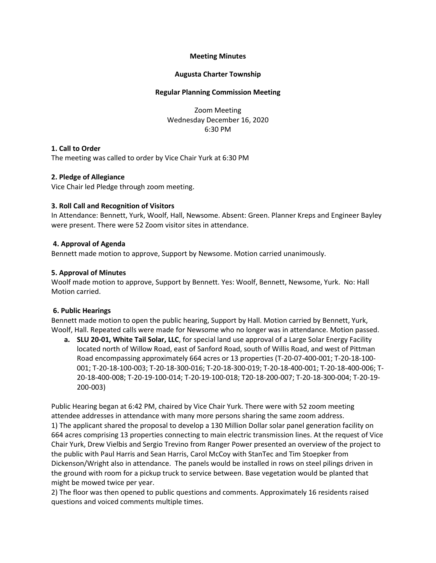# **Meeting Minutes**

# **Augusta Charter Township**

#### **Regular Planning Commission Meeting**

Zoom Meeting Wednesday December 16, 2020 6:30 PM

# **1. Call to Order**

The meeting was called to order by Vice Chair Yurk at 6:30 PM

# **2. Pledge of Allegiance**

Vice Chair led Pledge through zoom meeting.

# **3. Roll Call and Recognition of Visitors**

In Attendance: Bennett, Yurk, Woolf, Hall, Newsome. Absent: Green. Planner Kreps and Engineer Bayley were present. There were 52 Zoom visitor sites in attendance.

# **4. Approval of Agenda**

Bennett made motion to approve, Support by Newsome. Motion carried unanimously.

# **5. Approval of Minutes**

Woolf made motion to approve, Support by Bennett. Yes: Woolf, Bennett, Newsome, Yurk. No: Hall Motion carried.

# **6. Public Hearings**

Bennett made motion to open the public hearing, Support by Hall. Motion carried by Bennett, Yurk, Woolf, Hall. Repeated calls were made for Newsome who no longer was in attendance. Motion passed.

**a. SLU 20-01, White Tail Solar, LLC**, for special land use approval of a Large Solar Energy Facility located north of Willow Road, east of Sanford Road, south of Willis Road, and west of Pittman Road encompassing approximately 664 acres or 13 properties (T-20-07-400-001; T-20-18-100- 001; T-20-18-100-003; T-20-18-300-016; T-20-18-300-019; T-20-18-400-001; T-20-18-400-006; T-20-18-400-008; T-20-19-100-014; T-20-19-100-018; T20-18-200-007; T-20-18-300-004; T-20-19- 200-003)

Public Hearing began at 6:42 PM, chaired by Vice Chair Yurk. There were with 52 zoom meeting attendee addresses in attendance with many more persons sharing the same zoom address. 1) The applicant shared the proposal to develop a 130 Million Dollar solar panel generation facility on 664 acres comprising 13 properties connecting to main electric transmission lines. At the request of Vice Chair Yurk, Drew Vielbis and Sergio Trevino from Ranger Power presented an overview of the project to the public with Paul Harris and Sean Harris, Carol McCoy with StanTec and Tim Stoepker from Dickenson/Wright also in attendance. The panels would be installed in rows on steel pilings driven in the ground with room for a pickup truck to service between. Base vegetation would be planted that might be mowed twice per year.

2) The floor was then opened to public questions and comments. Approximately 16 residents raised questions and voiced comments multiple times.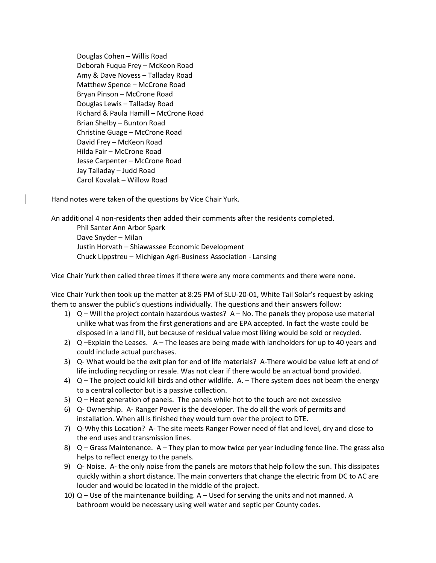Douglas Cohen – Willis Road Deborah Fuqua Frey – McKeon Road Amy & Dave Novess – Talladay Road Matthew Spence – McCrone Road Bryan Pinson – McCrone Road Douglas Lewis – Talladay Road Richard & Paula Hamill – McCrone Road Brian Shelby – Bunton Road Christine Guage – McCrone Road David Frey – McKeon Road Hilda Fair – McCrone Road Jesse Carpenter – McCrone Road Jay Talladay – Judd Road Carol Kovalak – Willow Road

Hand notes were taken of the questions by Vice Chair Yurk.

An additional 4 non-residents then added their comments after the residents completed.

Phil Santer Ann Arbor Spark Dave Snyder – Milan Justin Horvath – Shiawassee Economic Development Chuck Lippstreu – Michigan Agri-Business Association - Lansing

Vice Chair Yurk then called three times if there were any more comments and there were none.

Vice Chair Yurk then took up the matter at 8:25 PM of SLU-20-01, White Tail Solar's request by asking them to answer the public's questions individually. The questions and their answers follow:

- 1)  $Q -$  Will the project contain hazardous wastes?  $A No$ . The panels they propose use material unlike what was from the first generations and are EPA accepted. In fact the waste could be disposed in a land fill, but because of residual value most liking would be sold or recycled.
- 2) Q –Explain the Leases. A The leases are being made with landholders for up to 40 years and could include actual purchases.
- 3) Q- What would be the exit plan for end of life materials? A-There would be value left at end of life including recycling or resale. Was not clear if there would be an actual bond provided.
- 4) Q The project could kill birds and other wildlife. A. There system does not beam the energy to a central collector but is a passive collection.
- 5) Q Heat generation of panels. The panels while hot to the touch are not excessive
- 6) Q- Ownership. A- Ranger Power is the developer. The do all the work of permits and installation. When all is finished they would turn over the project to DTE.
- 7) Q-Why this Location? A- The site meets Ranger Power need of flat and level, dry and close to the end uses and transmission lines.
- 8)  $Q G$  ass Maintenance. A They plan to mow twice per year including fence line. The grass also helps to reflect energy to the panels.
- 9) Q- Noise. A- the only noise from the panels are motors that help follow the sun. This dissipates quickly within a short distance. The main converters that change the electric from DC to AC are louder and would be located in the middle of the project.
- 10) Q Use of the maintenance building. A Used for serving the units and not manned. A bathroom would be necessary using well water and septic per County codes.